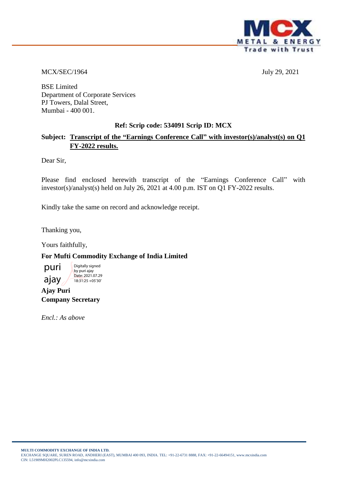

MCX/SEC/1964 July 29, 2021

BSE Limited Department of Corporate Services PJ Towers, Dalal Street, Mumbai - 400 001.

### **Ref: Scrip code: 534091 Scrip ID: MCX**

### **Subject: Transcript of the "Earnings Conference Call" with investor(s)/analyst(s) on Q1 FY-2022 results.**

Dear Sir,

Please find enclosed herewith transcript of the "Earnings Conference Call" with investor(s)/analyst(s) held on July 26, 2021 at 4.00 p.m. IST on Q1 FY-2022 results.

Kindly take the same on record and acknowledge receipt.

Thanking you,

Yours faithfully,

### **For Mufti Commodity Exchange of India Limited**



**Ajay Puri Company Secretary**

*Encl.: As above*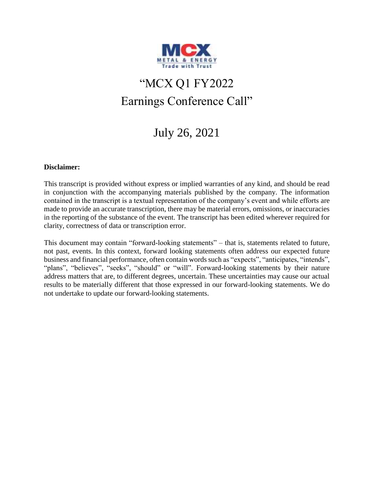

# "MCX Q1 FY2022 Earnings Conference Call"

## July 26, 2021

### **Disclaimer:**

This transcript is provided without express or implied warranties of any kind, and should be read in conjunction with the accompanying materials published by the company. The information contained in the transcript is a textual representation of the company's event and while efforts are made to provide an accurate transcription, there may be material errors, omissions, or inaccuracies in the reporting of the substance of the event. The transcript has been edited wherever required for clarity, correctness of data or transcription error.

This document may contain "forward-looking statements" – that is, statements related to future, not past, events. In this context, forward looking statements often address our expected future business and financial performance, often contain words such as "expects", "anticipates, "intends", "plans", "believes", "seeks", "should" or "will". Forward-looking statements by their nature address matters that are, to different degrees, uncertain. These uncertainties may cause our actual results to be materially different that those expressed in our forward-looking statements. We do not undertake to update our forward-looking statements.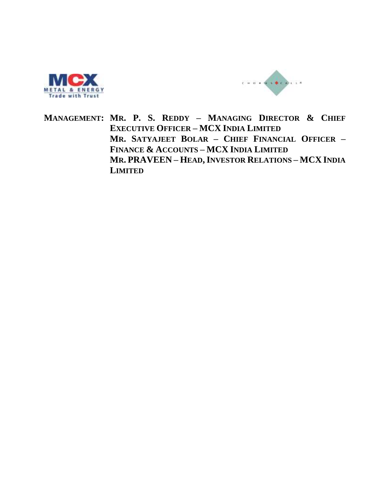



**MANAGEMENT: MR. P. S. REDDY – MANAGING DIRECTOR & CHIEF EXECUTIVE OFFICER – MCX INDIA LIMITED MR. SATYAJEET BOLAR – CHIEF FINANCIAL OFFICER – FINANCE & ACCOUNTS – MCX INDIA LIMITED MR. PRAVEEN – HEAD,INVESTOR RELATIONS – MCX INDIA LIMITED**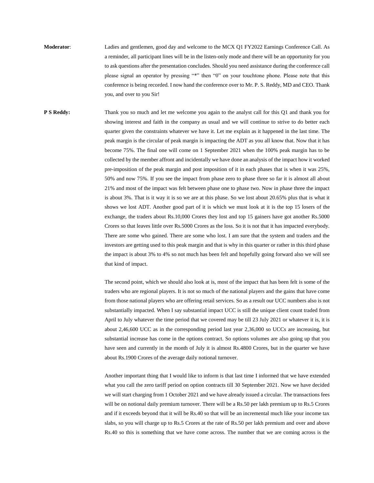**Moderator**: Ladies and gentlemen, good day and welcome to the MCX Q1 FY2022 Earnings Conference Call. As a reminder, all participant lines will be in the listen-only mode and there will be an opportunity for you to ask questions after the presentation concludes. Should you need assistance during the conference call please signal an operator by pressing "\*" then "0" on your touchtone phone. Please note that this conference is being recorded. I now hand the conference over to Mr. P. S. Reddy, MD and CEO. Thank you, and over to you Sir!

**P S Reddy:** Thank you so much and let me welcome you again to the analyst call for this Q1 and thank you for showing interest and faith in the company as usual and we will continue to strive to do better each quarter given the constraints whatever we have it. Let me explain as it happened in the last time. The peak margin is the circular of peak margin is impacting the ADT as you all know that. Now that it has become 75%. The final one will come on 1 September 2021 when the 100% peak margin has to be collected by the member affront and incidentally we have done an analysis of the impact how it worked pre-imposition of the peak margin and post imposition of it in each phases that is when it was 25%, 50% and now 75%. If you see the impact from phase zero to phase three so far it is almost all about 21% and most of the impact was felt between phase one to phase two. Now in phase three the impact is about 3%. That is it way it is so we are at this phase. So we lost about 20.65% plus that is what it shows we lost ADT. Another good part of it is which we must look at it is the top 15 losers of the exchange, the traders about Rs.10,000 Crores they lost and top 15 gainers have got another Rs.5000 Crores so that leaves little over Rs.5000 Crores as the loss. So it is not that it has impacted everybody. There are some who gained. There are some who lost. I am sure that the system and traders and the investors are getting used to this peak margin and that is why in this quarter or rather in this third phase the impact is about 3% to 4% so not much has been felt and hopefully going forward also we will see that kind of impact.

> The second point, which we should also look at is, most of the impact that has been felt is some of the traders who are regional players. It is not so much of the national players and the gains that have come from those national players who are offering retail services. So as a result our UCC numbers also is not substantially impacted. When I say substantial impact UCC is still the unique client count traded from April to July whatever the time period that we covered may be till 23 July 2021 or whatever it is, it is about 2,46,600 UCC as in the corresponding period last year 2,36,000 so UCCs are increasing, but substantial increase has come in the options contract. So options volumes are also going up that you have seen and currently in the month of July it is almost Rs.4800 Crores, but in the quarter we have about Rs.1900 Crores of the average daily notional turnover.

> Another important thing that I would like to inform is that last time I informed that we have extended what you call the zero tariff period on option contracts till 30 September 2021. Now we have decided we will start charging from 1 October 2021 and we have already issued a circular. The transactions fees will be on notional daily premium turnover. There will be a Rs.50 per lakh premium up to Rs.5 Crores and if it exceeds beyond that it will be Rs.40 so that will be an incremental much like your income tax slabs, so you will charge up to Rs.5 Crores at the rate of Rs.50 per lakh premium and over and above Rs.40 so this is something that we have come across. The number that we are coming across is the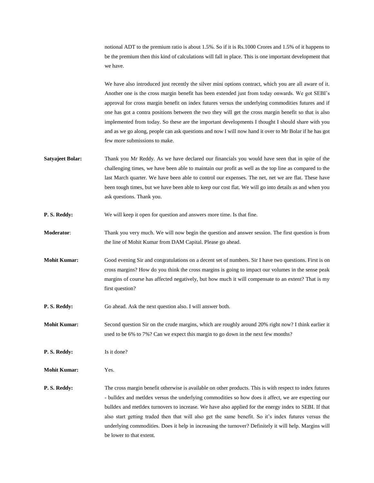notional ADT to the premium ratio is about 1.5%. So if it is Rs.1000 Crores and 1.5% of it happens to be the premium then this kind of calculations will fall in place. This is one important development that we have.

We have also introduced just recently the silver mini options contract, which you are all aware of it. Another one is the cross margin benefit has been extended just from today onwards. We got SEBI's approval for cross margin benefit on index futures versus the underlying commodities futures and if one has got a contra positions between the two they will get the cross margin benefit so that is also implemented from today. So these are the important developments I thought I should share with you and as we go along, people can ask questions and now I will now hand it over to Mr Bolar if he has got few more submissions to make.

- **Satyajeet Bolar:** Thank you Mr Reddy. As we have declared our financials you would have seen that in spite of the challenging times, we have been able to maintain our profit as well as the top line as compared to the last March quarter. We have been able to control our expenses. The net, net we are flat. These have been tough times, but we have been able to keep our cost flat. We will go into details as and when you ask questions. Thank you.
- **P. S. Reddy:** We will keep it open for question and answers more time. Is that fine.
- **Moderator**: Thank you very much. We will now begin the question and answer session. The first question is from the line of Mohit Kumar from DAM Capital. Please go ahead.
- **Mohit Kumar:** Good evening Sir and congratulations on a decent set of numbers. Sir I have two questions. First is on cross margins? How do you think the cross margins is going to impact our volumes in the sense peak margins of course has affected negatively, but how much it will compensate to an extent? That is my first question?
- **P. S. Reddy:** Go ahead. Ask the next question also. I will answer both.

**Mohit Kumar:** Second question Sir on the crude margins, which are roughly around 20% right now? I think earlier it used to be 6% to 7%? Can we expect this margin to go down in the next few months?

**P. S. Reddy:** Is it done?

**Mohit Kumar:** Yes.

**P. S. Reddy:** The cross margin benefit otherwise is available on other products. This is with respect to index futures - bulldex and metldex versus the underlying commodities so how does it affect, we are expecting our bulldex and metldex turnovers to increase. We have also applied for the energy index to SEBI. If that also start getting traded then that will also get the same benefit. So it's index futures versus the underlying commodities. Does it help in increasing the turnover? Definitely it will help. Margins will be lower to that extent.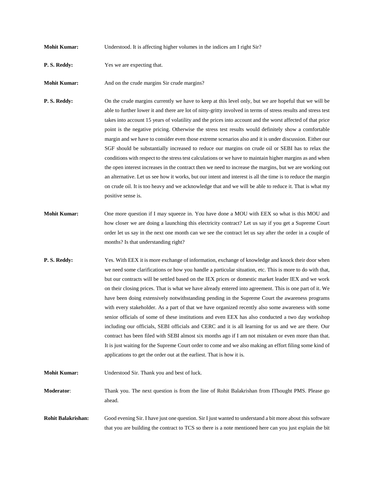| <b>Mohit Kumar:</b> | Understood. It is affecting higher volumes in the indices am I right Sir? |  |
|---------------------|---------------------------------------------------------------------------|--|
|---------------------|---------------------------------------------------------------------------|--|

**P. S. Reddy:** Yes we are expecting that.

**Mohit Kumar:** And on the crude margins Sir crude margins?

**P. S. Reddy:** On the crude margins currently we have to keep at this level only, but we are hopeful that we will be able to further lower it and there are lot of nitty-gritty involved in terms of stress results and stress test takes into account 15 years of volatility and the prices into account and the worst affected of that price point is the negative pricing. Otherwise the stress test results would definitely show a comfortable margin and we have to consider even those extreme scenarios also and it is under discussion. Either our SGF should be substantially increased to reduce our margins on crude oil or SEBI has to relax the conditions with respect to the stress test calculations or we have to maintain higher margins as and when the open interest increases in the contract then we need to increase the margins, but we are working out an alternative. Let us see how it works, but our intent and interest is all the time is to reduce the margin on crude oil. It is too heavy and we acknowledge that and we will be able to reduce it. That is what my positive sense is.

- **Mohit Kumar:** One more question if I may squeeze in. You have done a MOU with EEX so what is this MOU and how closer we are doing a launching this electricity contract? Let us say if you get a Supreme Court order let us say in the next one month can we see the contract let us say after the order in a couple of months? Is that understanding right?
- **P. S. Reddy:** Yes. With EEX it is more exchange of information, exchange of knowledge and knock their door when we need some clarifications or how you handle a particular situation, etc. This is more to do with that, but our contracts will be settled based on the IEX prices or domestic market leader IEX and we work on their closing prices. That is what we have already entered into agreement. This is one part of it. We have been doing extensively notwithstanding pending in the Supreme Court the awareness programs with every stakeholder. As a part of that we have organized recently also some awareness with some senior officials of some of these institutions and even EEX has also conducted a two day workshop including our officials, SEBI officials and CERC and it is all learning for us and we are there. Our contract has been filed with SEBI almost six months ago if I am not mistaken or even more than that. It is just waiting for the Supreme Court order to come and we also making an effort filing some kind of applications to get the order out at the earliest. That is how it is.

**Mohit Kumar:** Understood Sir. Thank you and best of luck.

**Moderator**: Thank you. The next question is from the line of Rohit Balakrishan from IThought PMS. Please go ahead.

**Rohit Balakrishan:** Good evening Sir. I have just one question. Sir I just wanted to understand a bit more about this software that you are building the contract to TCS so there is a note mentioned here can you just explain the bit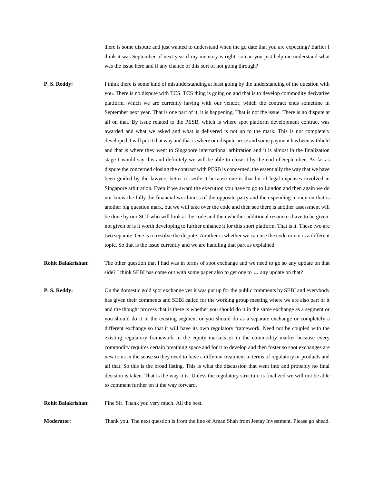there is some dispute and just wanted to understand when the go date that you are expecting? Earlier I think it was September of next year if my memory is right, so can you just help me understand what was the issue here and if any chance of this sort of not going through?

**P. S. Reddy:** I think there is some kind of misunderstanding at least going by the understanding of the question with you. There is no dispute with TCS. TCS thing is going on and that is to develop commodity derivative platform, which we are currently having with our vendor, which the contract ends sometime in September next year. That is one part of it, it is happening. That is not the issue. There is no dispute at all on that. By issue related to the PESB, which is where spot platform development contract was awarded and what we asked and what is delivered is not up to the mark. This is not completely developed. I will put it that way and that is where our dispute arose and some payment has been withheld and that is where they went to Singapore international arbitration and it is almost in the finalization stage I would say this and definitely we will be able to close it by the end of September. As far as dispute the concerned closing the contract with PESB is concerned, the essentially the way that we have been guided by the lawyers better to settle it because one is that lot of legal expenses involved in Singapore arbitration. Even if we award the execution you have to go to London and then again we do not know the fully the financial worthiness of the opposite party and then spending money on that is another big question mark, but we will take over the code and then see there is another assessment will be done by our SCT who will look at the code and then whether additional resources have to be given, not given or is it worth developing to further enhance it for this short platform. That is it. These two are two separate. One is to resolve the dispute. Another is whether we can use the code or not is a different topic. So that is the issue currently and we are handling that part as explained.

**Rohit Balakrishan:** The other question that I had was in terms of spot exchange and we need to go so any update on that side? I think SEBI has come out with some paper also to get one to **…** any update on that?

**P. S. Reddy:** On the domestic gold spot exchange yes it was put up for the public comments by SEBI and everybody has given their comments and SEBI called for the working group meeting where we are also part of it and the thought process that is there is whether you should do it in the same exchange as a segment or you should do it in the existing segment or you should do as a separate exchange or completely a different exchange so that it will have its own regulatory framework. Need not be coupled with the existing regulatory framework in the equity markets or in the commodity market because every commodity requires certain breathing space and for it to develop and then foster so spot exchanges are new to us in the sense so they need to have a different treatment in terms of regulatory or products and all that. So this is the broad listing. This is what the discussion that went into and probably no final decision is taken. That is the way it is. Unless the regulatory structure is finalized we will not be able to comment further on it the way forward.

**Rohit Balakrishan:** Fine Sir. Thank you very much. All the best.

**Moderator:** Thank you. The next question is from the line of Aman Shah from Jeetay Investment. Please go ahead.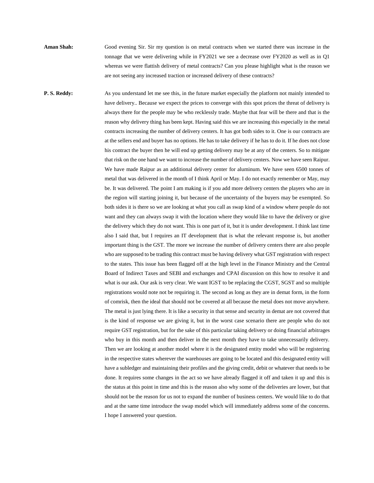**Aman Shah:** Good evening Sir. Sir my question is on metal contracts when we started there was increase in the tonnage that we were delivering while in FY2021 we see a decrease over FY2020 as well as in Q1 whereas we were flattish delivery of metal contracts? Can you please highlight what is the reason we are not seeing any increased traction or increased delivery of these contracts?

**P. S. Reddy:** As you understand let me see this, in the future market especially the platform not mainly intended to have delivery.. Because we expect the prices to converge with this spot prices the threat of delivery is always there for the people may be who recklessly trade. Maybe that fear will be there and that is the reason why delivery thing has been kept. Having said this we are increasing this especially in the metal contracts increasing the number of delivery centers. It has got both sides to it. One is our contracts are at the sellers end and buyer has no options. He has to take delivery if he has to do it. If he does not close his contract the buyer then he will end up getting delivery may be at any of the centers. So to mitigate that risk on the one hand we want to increase the number of delivery centers. Now we have seen Raipur. We have made Raipur as an additional delivery center for aluminum. We have seen 6500 tonnes of metal that was delivered in the month of I think April or May. I do not exactly remember or May, may be. It was delivered. The point I am making is if you add more delivery centers the players who are in the region will starting joining it, but because of the uncertainty of the buyers may be exempted. So both sides it is there so we are looking at what you call as swap kind of a window where people do not want and they can always swap it with the location where they would like to have the delivery or give the delivery which they do not want. This is one part of it, but it is under development. I think last time also I said that, but I requires an IT development that is what the relevant response is, but another important thing is the GST. The more we increase the number of delivery centers there are also people who are supposed to be trading this contract must be having delivery what GST registration with respect to the states. This issue has been flagged off at the high level in the Finance Ministry and the Central Board of Indirect Taxes and SEBI and exchanges and CPAI discussion on this how to resolve it and what is our ask. Our ask is very clear. We want IGST to be replacing the CGST, SGST and so multiple registrations would note not be requiring it. The second as long as they are in demat form, in the form of comrisk, then the ideal that should not be covered at all because the metal does not move anywhere. The metal is just lying there. It is like a security in that sense and security in demat are not covered that is the kind of response we are giving it, but in the worst case scenario there are people who do not require GST registration, but for the sake of this particular taking delivery or doing financial arbitrages who buy in this month and then deliver in the next month they have to take unnecessarily delivery. Then we are looking at another model where it is the designated entity model who will be registering in the respective states wherever the warehouses are going to be located and this designated entity will have a subledger and maintaining their profiles and the giving credit, debit or whatever that needs to be done. It requires some changes in the act so we have already flagged it off and taken it up and this is the status at this point in time and this is the reason also why some of the deliveries are lower, but that should not be the reason for us not to expand the number of business centers. We would like to do that and at the same time introduce the swap model which will immediately address some of the concerns. I hope I answered your question.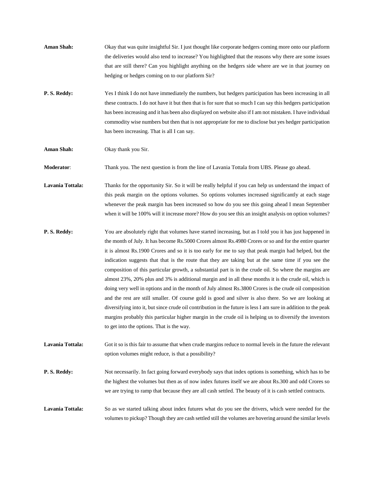**Aman Shah:** Okay that was quite insightful Sir. I just thought like corporate hedgers coming more onto our platform the deliveries would also tend to increase? You highlighted that the reasons why there are some issues that are still there? Can you highlight anything on the hedgers side where are we in that journey on hedging or hedges coming on to our platform Sir? **P. S. Reddy:** Yes I think I do not have immediately the numbers, but hedgers participation has been increasing in all these contracts. I do not have it but then that is for sure that so much I can say this hedgers participation has been increasing and it has been also displayed on website also if I am not mistaken. I have individual commodity wise numbers but then that is not appropriate for me to disclose but yes hedger participation has been increasing. That is all I can say.

**Aman Shah:** Okay thank you Sir.

**Moderator**: Thank you. The next question is from the line of Lavania Tottala from UBS. Please go ahead.

Lavania Tottala: Thanks for the opportunity Sir. So it will be really helpful if you can help us understand the impact of this peak margin on the options volumes. So options volumes increased significantly at each stage whenever the peak margin has been increased so how do you see this going ahead I mean September when it will be 100% will it increase more? How do you see this an insight analysis on option volumes?

**P. S. Reddy:** You are absolutely right that volumes have started increasing, but as I told you it has just happened in the month of July. It has become Rs.5000 Crores almost Rs.4980 Crores or so and for the entire quarter it is almost Rs.1900 Crores and so it is too early for me to say that peak margin had helped, but the indication suggests that that is the route that they are taking but at the same time if you see the composition of this particular growth, a substantial part is in the crude oil. So where the margins are almost 23%, 20% plus and 3% is additional margin and in all these months it is the crude oil, which is doing very well in options and in the month of July almost Rs.3800 Crores is the crude oil composition and the rest are still smaller. Of course gold is good and silver is also there. So we are looking at diversifying into it, but since crude oil contribution in the future is less I am sure in addition to the peak margins probably this particular higher margin in the crude oil is helping us to diversify the investors to get into the options. That is the way.

**Lavania Tottala:** Got it so is this fair to assume that when crude margins reduce to normal levels in the future the relevant option volumes might reduce, is that a possibility?

**P. S. Reddy:** Not necessarily. In fact going forward everybody says that index options is something, which has to be the highest the volumes but then as of now index futures itself we are about Rs.300 and odd Crores so we are trying to ramp that because they are all cash settled. The beauty of it is cash settled contracts.

Lavania Tottala: So as we started talking about index futures what do you see the drivers, which were needed for the volumes to pickup? Though they are cash settled still the volumes are hovering around the similar levels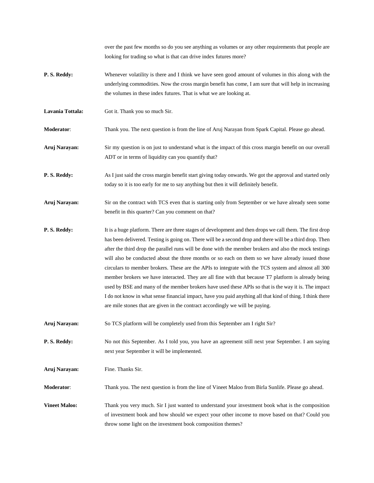over the past few months so do you see anything as volumes or any other requirements that people are looking for trading so what is that can drive index futures more?

- **P. S. Reddy:** Whenever volatility is there and I think we have seen good amount of volumes in this along with the underlying commodities. Now the cross margin benefit has come, I am sure that will help in increasing the volumes in these index futures. That is what we are looking at.
- Lavania Tottala: Got it. Thank you so much Sir.

**Moderator**: Thank you. The next question is from the line of Aruj Narayan from Spark Capital. Please go ahead.

- **Aruj Narayan:** Sir my question is on just to understand what is the impact of this cross margin benefit on our overall ADT or in terms of liquidity can you quantify that?
- **P. S. Reddy:** As I just said the cross margin benefit start giving today onwards. We got the approval and started only today so it is too early for me to say anything but then it will definitely benefit.
- **Aruj Narayan:** Sir on the contract with TCS even that is starting only from September or we have already seen some benefit in this quarter? Can you comment on that?
- **P. S. Reddy:** It is a huge platform. There are three stages of development and then drops we call them. The first drop has been delivered. Testing is going on. There will be a second drop and there will be a third drop. Then after the third drop the parallel runs will be done with the member brokers and also the mock testings will also be conducted about the three months or so each on them so we have already issued those circulars to member brokers. These are the APIs to integrate with the TCS system and almost all 300 member brokers we have interacted. They are all fine with that because T7 platform is already being used by BSE and many of the member brokers have used these APIs so that is the way it is. The impact I do not know in what sense financial impact, have you paid anything all that kind of thing. I think there are mile stones that are given in the contract accordingly we will be paying.
- **Aruj Narayan:** So TCS platform will be completely used from this September am I right Sir?
- **P. S. Reddy:** No not this September. As I told you, you have an agreement still next year September. I am saying next year September it will be implemented.
- **Aruj Narayan:** Fine. Thanks Sir.

**Moderator**: Thank you. The next question is from the line of Vineet Maloo from Birla Sunlife. Please go ahead.

**Vineet Maloo:** Thank you very much. Sir I just wanted to understand your investment book what is the composition of investment book and how should we expect your other income to move based on that? Could you throw some light on the investment book composition themes?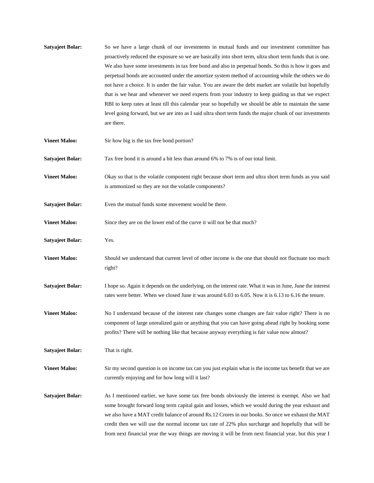| <b>Satyajeet Bolar:</b> | So we have a large chunk of our investments in mutual funds and our investment committee has<br>proactively reduced the exposure so we are basically into short term, ultra short term funds that is one.<br>We also have some investments in tax free bond and also in perpetual bonds. So this is how it goes and<br>perpetual bonds are accounted under the amortize system method of accounting while the others we do<br>not have a choice. It is under the fair value. You are aware the debt market are volatile but hopefully<br>that is we hear and whenever we need experts from your industry to keep guiding us that we expect<br>RBI to keep rates at least till this calendar year so hopefully we should be able to maintain the same<br>level going forward, but we are into as I said ultra short term funds the major chunk of our investments<br>are there. |
|-------------------------|--------------------------------------------------------------------------------------------------------------------------------------------------------------------------------------------------------------------------------------------------------------------------------------------------------------------------------------------------------------------------------------------------------------------------------------------------------------------------------------------------------------------------------------------------------------------------------------------------------------------------------------------------------------------------------------------------------------------------------------------------------------------------------------------------------------------------------------------------------------------------------|
| <b>Vineet Maloo:</b>    | Sir how big is the tax free bond portion?                                                                                                                                                                                                                                                                                                                                                                                                                                                                                                                                                                                                                                                                                                                                                                                                                                      |
| <b>Satyajeet Bolar:</b> | Tax free bond it is around a bit less than around 6% to 7% is of our total limit.                                                                                                                                                                                                                                                                                                                                                                                                                                                                                                                                                                                                                                                                                                                                                                                              |
| <b>Vineet Maloo:</b>    | Okay so that is the volatile component right because short term and ultra short term funds as you said<br>is ammonized so they are not the volatile components?                                                                                                                                                                                                                                                                                                                                                                                                                                                                                                                                                                                                                                                                                                                |
| <b>Satyajeet Bolar:</b> | Even the mutual funds some movement would be there.                                                                                                                                                                                                                                                                                                                                                                                                                                                                                                                                                                                                                                                                                                                                                                                                                            |
| <b>Vineet Maloo:</b>    | Since they are on the lower end of the curve it will not be that much?                                                                                                                                                                                                                                                                                                                                                                                                                                                                                                                                                                                                                                                                                                                                                                                                         |
| <b>Satyajeet Bolar:</b> | Yes.                                                                                                                                                                                                                                                                                                                                                                                                                                                                                                                                                                                                                                                                                                                                                                                                                                                                           |
| <b>Vineet Maloo:</b>    | Should we understand that current level of other income is the one that should not fluctuate too much<br>right?                                                                                                                                                                                                                                                                                                                                                                                                                                                                                                                                                                                                                                                                                                                                                                |
| <b>Satyajeet Bolar:</b> | I hope so. Again it depends on the underlying, on the interest rate. What it was in June, June the interest<br>rates were better. When we closed June it was around 6.03 to 6.05. Now it is 6.13 to 6.16 the tenure.                                                                                                                                                                                                                                                                                                                                                                                                                                                                                                                                                                                                                                                           |
| <b>Vineet Maloo:</b>    | No I understand because of the interest rate changes some changes are fair value right? There is no<br>component of large unrealized gain or anything that you can have going ahead right by booking some<br>profits? There will be nothing like that because anyway everything is fair value now almost?                                                                                                                                                                                                                                                                                                                                                                                                                                                                                                                                                                      |
| <b>Satyajeet Bolar:</b> | That is right.                                                                                                                                                                                                                                                                                                                                                                                                                                                                                                                                                                                                                                                                                                                                                                                                                                                                 |
| <b>Vineet Maloo:</b>    | Sir my second question is on income tax can you just explain what is the income tax benefit that we are<br>currently enjoying and for how long will it last?                                                                                                                                                                                                                                                                                                                                                                                                                                                                                                                                                                                                                                                                                                                   |
| <b>Satyajeet Bolar:</b> | As I mentioned earlier, we have some tax free bonds obviously the interest is exempt. Also we had<br>some brought forward long term capital gain and losses, which we would during the year exhaust and<br>we also have a MAT credit balance of around Rs.12 Crores in our books. So once we exhaust the MAT<br>credit then we will use the normal income tax rate of 22% plus surcharge and hopefully that will be<br>from next financial year the way things are moving it will be from next financial year, but this year I                                                                                                                                                                                                                                                                                                                                                 |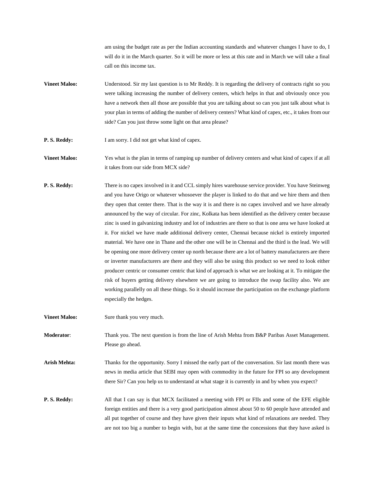am using the budget rate as per the Indian accounting standards and whatever changes I have to do, I will do it in the March quarter. So it will be more or less at this rate and in March we will take a final call on this income tax.

- **Vineet Maloo:** Understood. Sir my last question is to Mr Reddy. It is regarding the delivery of contracts right so you were talking increasing the number of delivery centers, which helps in that and obviously once you have a network then all those are possible that you are talking about so can you just talk about what is your plan in terms of adding the number of delivery centers? What kind of capex, etc., it takes from our side? Can you just throw some light on that area please?
- **P. S. Reddy:** I am sorry. I did not get what kind of capex.
- **Vineet Maloo:** Yes what is the plan in terms of ramping up number of delivery centers and what kind of capex if at all it takes from our side from MCX side?
- **P. S. Reddy:** There is no capex involved in it and CCL simply hires warehouse service provider. You have Steinweg and you have Origo or whatever whosoever the player is linked to do that and we hire them and then they open that center there. That is the way it is and there is no capex involved and we have already announced by the way of circular. For zinc, Kolkata has been identified as the delivery center because zinc is used in galvanizing industry and lot of industries are there so that is one area we have looked at it. For nickel we have made additional delivery center, Chennai because nickel is entirely imported material. We have one in Thane and the other one will be in Chennai and the third is the lead. We will be opening one more delivery center up north because there are a lot of battery manufacturers are there or inverter manufacturers are there and they will also be using this product so we need to look either producer centric or consumer centric that kind of approach is what we are looking at it. To mitigate the risk of buyers getting delivery elsewhere we are going to introduce the swap facility also. We are working parallelly on all these things. So it should increase the participation on the exchange platform especially the hedges.
- **Vineet Maloo:** Sure thank you very much.

**Moderator:** Thank you. The next question is from the line of Arish Mehta from B&P Paribas Asset Management. Please go ahead.

- **Arish Mehta:** Thanks for the opportunity. Sorry I missed the early part of the conversation. Sir last month there was news in media article that SEBI may open with commodity in the future for FPI so any development there Sir? Can you help us to understand at what stage it is currently in and by when you expect?
- **P. S. Reddy:** All that I can say is that MCX facilitated a meeting with FPI or FIIs and some of the EFE eligible foreign entities and there is a very good participation almost about 50 to 60 people have attended and all put together of course and they have given their inputs what kind of relaxations are needed. They are not too big a number to begin with, but at the same time the concessions that they have asked is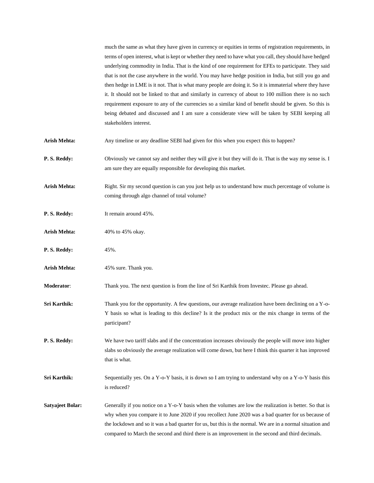much the same as what they have given in currency or equities in terms of registration requirements, in terms of open interest, what is kept or whether they need to have what you call, they should have hedged underlying commodity in India. That is the kind of one requirement for EFEs to participate. They said that is not the case anywhere in the world. You may have hedge position in India, but still you go and then hedge in LME is it not. That is what many people are doing it. So it is immaterial where they have it. It should not be linked to that and similarly in currency of about to 100 million there is no such requirement exposure to any of the currencies so a similar kind of benefit should be given. So this is being debated and discussed and I am sure a considerate view will be taken by SEBI keeping all stakeholders interest.

- **Arish Mehta:** Any timeline or any deadline SEBI had given for this when you expect this to happen?
- **P. S. Reddy:** Obviously we cannot say and neither they will give it but they will do it. That is the way my sense is. I am sure they are equally responsible for developing this market.
- **Arish Mehta:** Right. Sir my second question is can you just help us to understand how much percentage of volume is coming through algo channel of total volume?
- **P. S. Reddy:** It remain around 45%.
- Arish Mehta: 40% to 45% okay.
- **P. S. Reddy:** 45%.
- **Arish Mehta:** 45% sure. Thank you.

**Moderator**: Thank you. The next question is from the line of Sri Karthik from Investec. Please go ahead.

**Sri Karthik:** Thank you for the opportunity. A few questions, our average realization have been declining on a Y-o-Y basis so what is leading to this decline? Is it the product mix or the mix change in terms of the participant?

**P. S. Reddy:** We have two tariff slabs and if the concentration increases obviously the people will move into higher slabs so obviously the average realization will come down, but here I think this quarter it has improved that is what.

**Sri Karthik:** Sequentially yes. On a Y-o-Y basis, it is down so I am trying to understand why on a Y-o-Y basis this is reduced?

**Satyajeet Bolar:** Generally if you notice on a Y-o-Y basis when the volumes are low the realization is better. So that is why when you compare it to June 2020 if you recollect June 2020 was a bad quarter for us because of the lockdown and so it was a bad quarter for us, but this is the normal. We are in a normal situation and compared to March the second and third there is an improvement in the second and third decimals.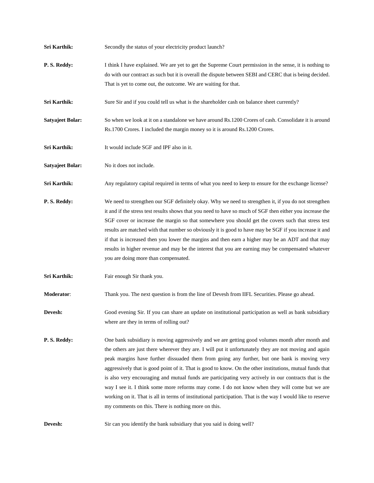| Sri Karthik:            | Secondly the status of your electricity product launch?                                                                                                                                                                                                                                                                                                                                                                                                                                                                                                                                                                                                                                                                                                                                                   |
|-------------------------|-----------------------------------------------------------------------------------------------------------------------------------------------------------------------------------------------------------------------------------------------------------------------------------------------------------------------------------------------------------------------------------------------------------------------------------------------------------------------------------------------------------------------------------------------------------------------------------------------------------------------------------------------------------------------------------------------------------------------------------------------------------------------------------------------------------|
| P.S. Reddy:             | I think I have explained. We are yet to get the Supreme Court permission in the sense, it is nothing to<br>do with our contract as such but it is overall the dispute between SEBI and CERC that is being decided.<br>That is yet to come out, the outcome. We are waiting for that.                                                                                                                                                                                                                                                                                                                                                                                                                                                                                                                      |
| Sri Karthik:            | Sure Sir and if you could tell us what is the shareholder cash on balance sheet currently?                                                                                                                                                                                                                                                                                                                                                                                                                                                                                                                                                                                                                                                                                                                |
| <b>Satyajeet Bolar:</b> | So when we look at it on a standalone we have around Rs.1200 Crores of cash. Consolidate it is around<br>Rs.1700 Crores. I included the margin money so it is around Rs.1200 Crores.                                                                                                                                                                                                                                                                                                                                                                                                                                                                                                                                                                                                                      |
| Sri Karthik:            | It would include SGF and IPF also in it.                                                                                                                                                                                                                                                                                                                                                                                                                                                                                                                                                                                                                                                                                                                                                                  |
| <b>Satyajeet Bolar:</b> | No it does not include.                                                                                                                                                                                                                                                                                                                                                                                                                                                                                                                                                                                                                                                                                                                                                                                   |
| Sri Karthik:            | Any regulatory capital required in terms of what you need to keep to ensure for the exchange license?                                                                                                                                                                                                                                                                                                                                                                                                                                                                                                                                                                                                                                                                                                     |
| P.S. Reddy:             | We need to strengthen our SGF definitely okay. Why we need to strengthen it, if you do not strengthen<br>it and if the stress test results shows that you need to have so much of SGF then either you increase the<br>SGF cover or increase the margin so that somewhere you should get the covers such that stress test<br>results are matched with that number so obviously it is good to have may be SGF if you increase it and<br>if that is increased then you lower the margins and then earn a higher may be an ADT and that may<br>results in higher revenue and may be the interest that you are earning may be compensated whatever<br>you are doing more than compensated.                                                                                                                     |
| Sri Karthik:            | Fair enough Sir thank you.                                                                                                                                                                                                                                                                                                                                                                                                                                                                                                                                                                                                                                                                                                                                                                                |
| Moderator:              | Thank you. The next question is from the line of Devesh from IIFL Securities. Please go ahead.                                                                                                                                                                                                                                                                                                                                                                                                                                                                                                                                                                                                                                                                                                            |
| <b>Devesh:</b>          | Good evening Sir. If you can share an update on institutional participation as well as bank subsidiary<br>where are they in terms of rolling out?                                                                                                                                                                                                                                                                                                                                                                                                                                                                                                                                                                                                                                                         |
| P.S. Reddy:             | One bank subsidiary is moving aggressively and we are getting good volumes month after month and<br>the others are just there wherever they are. I will put it unfortunately they are not moving and again<br>peak margins have further dissuaded them from going any further, but one bank is moving very<br>aggressively that is good point of it. That is good to know. On the other institutions, mutual funds that<br>is also very encouraging and mutual funds are participating very actively in our contracts that is the<br>way I see it. I think some more reforms may come. I do not know when they will come but we are<br>working on it. That is all in terms of institutional participation. That is the way I would like to reserve<br>my comments on this. There is nothing more on this. |
| <b>Devesh:</b>          | Sir can you identify the bank subsidiary that you said is doing well?                                                                                                                                                                                                                                                                                                                                                                                                                                                                                                                                                                                                                                                                                                                                     |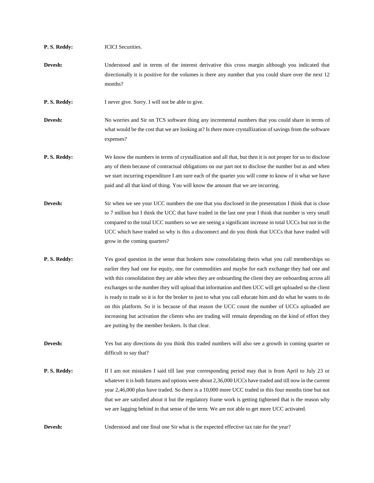| P.S. Reddy: | <b>ICICI</b> Securities.                                                                                                                                                                                                                                                                                                                                                                                                                                                                                                                                                                                                                                                                                                                                                                                    |
|-------------|-------------------------------------------------------------------------------------------------------------------------------------------------------------------------------------------------------------------------------------------------------------------------------------------------------------------------------------------------------------------------------------------------------------------------------------------------------------------------------------------------------------------------------------------------------------------------------------------------------------------------------------------------------------------------------------------------------------------------------------------------------------------------------------------------------------|
| Devesh:     | Understood and in terms of the interest derivative this cross margin although you indicated that<br>directionally it is positive for the volumes is there any number that you could share over the next 12<br>months?                                                                                                                                                                                                                                                                                                                                                                                                                                                                                                                                                                                       |
| P.S. Reddy: | I never give. Sorry. I will not be able to give.                                                                                                                                                                                                                                                                                                                                                                                                                                                                                                                                                                                                                                                                                                                                                            |
| Devesh:     | No worries and Sir on TCS software thing any incremental numbers that you could share in terms of<br>what would be the cost that we are looking at? Is there more crystallization of savings from the software<br>expenses?                                                                                                                                                                                                                                                                                                                                                                                                                                                                                                                                                                                 |
| P.S. Reddy: | We know the numbers in terms of crystallization and all that, but then it is not proper for us to disclose<br>any of them because of contractual obligations on our part not to disclose the number but as and when<br>we start incurring expenditure I am sure each of the quarter you will come to know of it what we have<br>paid and all that kind of thing. You will know the amount that we are incurring.                                                                                                                                                                                                                                                                                                                                                                                            |
| Devesh:     | Sir when we see your UCC numbers the one that you disclosed in the presentation I think that is close<br>to 7 million but I think the UCC that have traded in the last one year I think that number is very small<br>compared to the total UCC numbers so we are seeing a significant increase in total UCCs but not in the<br>UCC which have traded so why is this a disconnect and do you think that UCCs that have traded will<br>grow in the coming quarters?                                                                                                                                                                                                                                                                                                                                           |
| P.S. Reddy: | Yes good question in the sense that brokers now consolidating theirs what you call memberships so<br>earlier they had one for equity, one for commodities and maybe for each exchange they had one and<br>with this consolidation they are able when they are onboarding the client they are onboarding across all<br>exchanges so the number they will upload that information and then UCC will get uploaded so the client<br>is ready to trade so it is for the broker to just to what you call educate him and do what he wants to do<br>on this platform. So it is because of that reason the UCC count the number of UCCs uploaded are<br>increasing but activation the clients who are trading will remain depending on the kind of effort they<br>are putting by the member brokers. Is that clear. |
| Devesh:     | Yes but any directions do you think this traded numbers will also see a growth in coming quarter or<br>difficult to say that?                                                                                                                                                                                                                                                                                                                                                                                                                                                                                                                                                                                                                                                                               |
| P.S. Reddy: | If I am not mistaken I said till last year corresponding period may that is from April to July 23 or<br>whatever it is both futures and options were about 2,36,000 UCCs have traded and till now in the current<br>year 2,46,000 plus have traded. So there is a 10,000 more UCC traded in this four months time but not<br>that we are satisfied about it but the regulatory frame work is getting tightened that is the reason why<br>we are lagging behind in that sense of the term. We are not able to get more UCC activated.                                                                                                                                                                                                                                                                        |
| Devesh:     | Understood and one final one Sir what is the expected effective tax rate for the year?                                                                                                                                                                                                                                                                                                                                                                                                                                                                                                                                                                                                                                                                                                                      |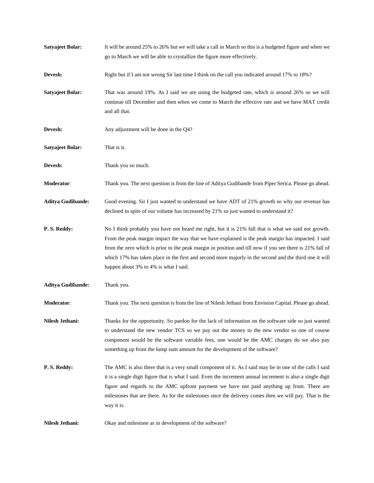| <b>Satyajeet Bolar:</b>  | It will be around 25% to 26% but we will take a call in March so this is a budgeted figure and when we<br>go to March we will be able to crystallize the figure more effectively.                                                                                                                                                                                                                                                                                         |
|--------------------------|---------------------------------------------------------------------------------------------------------------------------------------------------------------------------------------------------------------------------------------------------------------------------------------------------------------------------------------------------------------------------------------------------------------------------------------------------------------------------|
| Devesh:                  | Right but if I am not wrong Sir last time I think on the call you indicated around 17% to 18%?                                                                                                                                                                                                                                                                                                                                                                            |
| <b>Satyajeet Bolar:</b>  | That was around 19%. As I said we are using the budgeted rate, which is around 26% so we will<br>continue till December and then when we come to March the effective rate and we have MAT credit<br>and all that.                                                                                                                                                                                                                                                         |
| Devesh:                  | Any adjustment will be done in the Q4?                                                                                                                                                                                                                                                                                                                                                                                                                                    |
| <b>Satyajeet Bolar:</b>  | That is it.                                                                                                                                                                                                                                                                                                                                                                                                                                                               |
| Devesh:                  | Thank you so much.                                                                                                                                                                                                                                                                                                                                                                                                                                                        |
| Moderator:               | Thank you. The next question is from the line of Aditya Gudibande from Piper Serica. Please go ahead.                                                                                                                                                                                                                                                                                                                                                                     |
| <b>Aditya Gudibande:</b> | Good evening. Sir I just wanted to understand we have ADT of 21% growth so why our revenue has<br>declined in spite of our volume has increased by 21% so just wanted to understand it?                                                                                                                                                                                                                                                                                   |
| P.S. Reddy:              | No I think probably you have not heard me right, but it is 21% fall that is what we said not growth.<br>From the peak margin impact the way that we have explained is the peak margin has impacted. I said<br>from the zero which is prior to the peak margin in position and till now if you see there is 21% fall of<br>which 17% has taken place in the first and second more majorly in the second and the third one it will<br>happen about 3% to 4% is what I said. |
| <b>Aditya Gudibande:</b> | Thank you.                                                                                                                                                                                                                                                                                                                                                                                                                                                                |
| Moderator:               | Thank you. The next question is from the line of Nilesh Jethani from Envision Capital. Please go ahead.                                                                                                                                                                                                                                                                                                                                                                   |
| Nilesh Jethani:          | Thanks for the opportunity. So pardon for the lack of information on the software side so just wanted<br>to understand the new vendor TCS so we pay out the money to the new vendor so one of course<br>component would be the software variable fees, one would be the AMC charges do we also pay<br>something up front the lump sum amount for the development of the software?                                                                                         |
| P.S. Reddy:              | The AMC is also there that is a very small component of it. As I said may be in one of the calls I said<br>it is a single digit figure that is what I said. Even the increment annual increment is also a single digit<br>figure and regards to the AMC upfront payment we have not paid anything up front. There are<br>milestones that are there. As for the milestones once the delivery comes then we will pay. That is the<br>way it is.                             |
| Nilesh Jethani:          | Okay and milestone as in development of the software?                                                                                                                                                                                                                                                                                                                                                                                                                     |